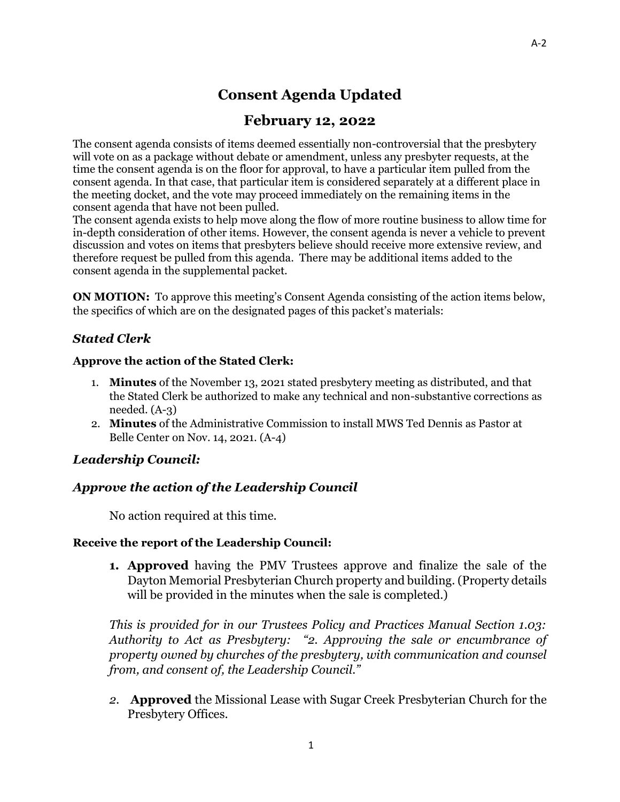# **Consent Agenda Updated**

# **February 12, 2022**

The consent agenda consists of items deemed essentially non-controversial that the presbytery will vote on as a package without debate or amendment, unless any presbyter requests, at the time the consent agenda is on the floor for approval, to have a particular item pulled from the consent agenda. In that case, that particular item is considered separately at a different place in the meeting docket, and the vote may proceed immediately on the remaining items in the consent agenda that have not been pulled.

The consent agenda exists to help move along the flow of more routine business to allow time for in-depth consideration of other items. However, the consent agenda is never a vehicle to prevent discussion and votes on items that presbyters believe should receive more extensive review, and therefore request be pulled from this agenda. There may be additional items added to the consent agenda in the supplemental packet.

**ON MOTION:** To approve this meeting's Consent Agenda consisting of the action items below, the specifics of which are on the designated pages of this packet's materials:

# *Stated Clerk*

#### **Approve the action of the Stated Clerk:**

- 1. **Minutes** of the November 13, 2021 stated presbytery meeting as distributed, and that the Stated Clerk be authorized to make any technical and non-substantive corrections as needed. (A-3)
- 2. **Minutes** of the Administrative Commission to install MWS Ted Dennis as Pastor at Belle Center on Nov. 14, 2021. (A-4)

## *Leadership Council:*

# *Approve the action of the Leadership Council*

No action required at this time.

#### **Receive the report of the Leadership Council:**

**1. Approved** having the PMV Trustees approve and finalize the sale of the Dayton Memorial Presbyterian Church property and building. (Property details will be provided in the minutes when the sale is completed.)

*This is provided for in our Trustees Policy and Practices Manual Section 1.03: Authority to Act as Presbytery: "2. Approving the sale or encumbrance of property owned by churches of the presbytery, with communication and counsel from, and consent of, the Leadership Council."*

*2.* **Approved** the Missional Lease with Sugar Creek Presbyterian Church for the Presbytery Offices.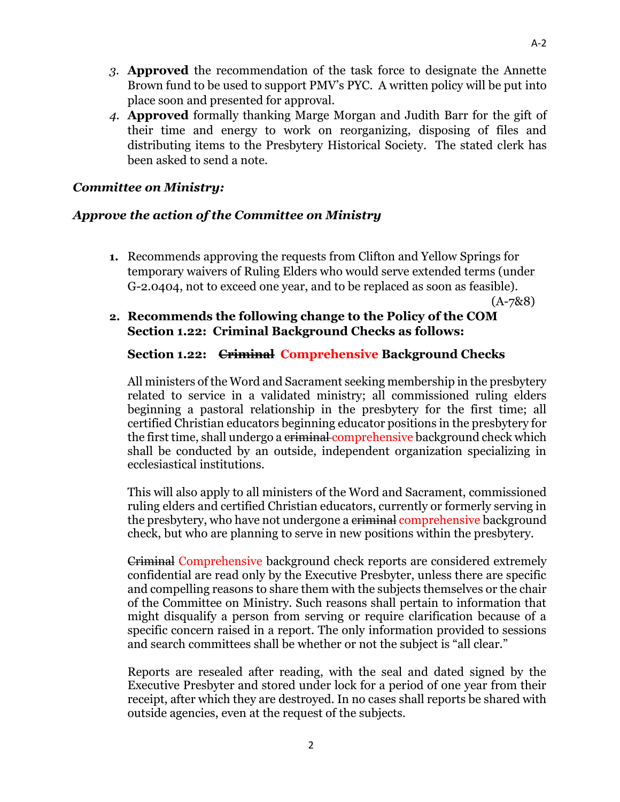- *3.* **Approved** the recommendation of the task force to designate the Annette Brown fund to be used to support PMV's PYC. A written policy will be put into place soon and presented for approval.
- *4.* **Approved** formally thanking Marge Morgan and Judith Barr for the gift of their time and energy to work on reorganizing, disposing of files and distributing items to the Presbytery Historical Society. The stated clerk has been asked to send a note.

## *Committee on Ministry:*

## *Approve the action of the Committee on Ministry*

**1.** Recommends approving the requests from Clifton and Yellow Springs for temporary waivers of Ruling Elders who would serve extended terms (under G-2.0404, not to exceed one year, and to be replaced as soon as feasible).

(A-7&8)

## **2. Recommends the following change to the Policy of the COM Section 1.22: Criminal Background Checks as follows:**

#### **Section 1.22: Criminal Comprehensive Background Checks**

All ministers of the Word and Sacrament seeking membership in the presbytery related to service in a validated ministry; all commissioned ruling elders beginning a pastoral relationship in the presbytery for the first time; all certified Christian educators beginning educator positions in the presbytery for the first time, shall undergo a criminal comprehensive background check which shall be conducted by an outside, independent organization specializing in ecclesiastical institutions.

This will also apply to all ministers of the Word and Sacrament, commissioned ruling elders and certified Christian educators, currently or formerly serving in the presbytery, who have not undergone a criminal comprehensive background check, but who are planning to serve in new positions within the presbytery.

Criminal Comprehensive background check reports are considered extremely confidential are read only by the Executive Presbyter, unless there are specific and compelling reasons to share them with the subjects themselves or the chair of the Committee on Ministry. Such reasons shall pertain to information that might disqualify a person from serving or require clarification because of a specific concern raised in a report. The only information provided to sessions and search committees shall be whether or not the subject is "all clear."

Reports are resealed after reading, with the seal and dated signed by the Executive Presbyter and stored under lock for a period of one year from their receipt, after which they are destroyed. In no cases shall reports be shared with outside agencies, even at the request of the subjects.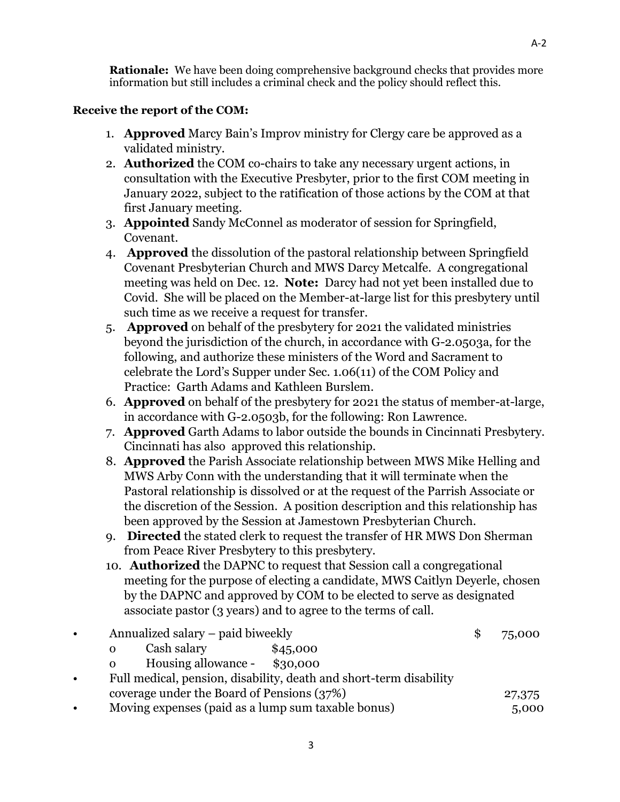**Rationale:** We have been doing comprehensive background checks that provides more information but still includes a criminal check and the policy should reflect this.

## **Receive the report of the COM:**

- 1. **Approved** Marcy Bain's Improv ministry for Clergy care be approved as a validated ministry.
- 2. **Authorized** the COM co-chairs to take any necessary urgent actions, in consultation with the Executive Presbyter, prior to the first COM meeting in January 2022, subject to the ratification of those actions by the COM at that first January meeting.
- 3. **Appointed** Sandy McConnel as moderator of session for Springfield, Covenant.
- 4. **Approved** the dissolution of the pastoral relationship between Springfield Covenant Presbyterian Church and MWS Darcy Metcalfe. A congregational meeting was held on Dec. 12. **Note:** Darcy had not yet been installed due to Covid. She will be placed on the Member-at-large list for this presbytery until such time as we receive a request for transfer.
- 5. **Approved** on behalf of the presbytery for 2021 the validated ministries beyond the jurisdiction of the church, in accordance with G-2.0503a, for the following, and authorize these ministers of the Word and Sacrament to celebrate the Lord's Supper under Sec. 1.06(11) of the COM Policy and Practice: Garth Adams and Kathleen Burslem.
- 6. **Approved** on behalf of the presbytery for 2021 the status of member-at-large, in accordance with G-2.0503b, for the following: Ron Lawrence.
- 7. **Approved** Garth Adams to labor outside the bounds in Cincinnati Presbytery. Cincinnati has also approved this relationship.
- 8. **Approved** the Parish Associate relationship between MWS Mike Helling and MWS Arby Conn with the understanding that it will terminate when the Pastoral relationship is dissolved or at the request of the Parrish Associate or the discretion of the Session. A position description and this relationship has been approved by the Session at Jamestown Presbyterian Church.
- 9. **Directed** the stated clerk to request the transfer of HR MWS Don Sherman from Peace River Presbytery to this presbytery.
- 10. **Authorized** the DAPNC to request that Session call a congregational meeting for the purpose of electing a candidate, MWS Caitlyn Deyerle, chosen by the DAPNC and approved by COM to be elected to serve as designated associate pastor (3 years) and to agree to the terms of call.

| $\bullet$ | Annualized salary – paid biweekly                                  |  | 75,000 |
|-----------|--------------------------------------------------------------------|--|--------|
|           | Cash salary<br>\$45,000<br>$\mathbf{O}$                            |  |        |
|           | Housing allowance - \$30,000<br>$\mathbf{O}$                       |  |        |
| $\bullet$ | Full medical, pension, disability, death and short-term disability |  |        |
|           | coverage under the Board of Pensions (37%)                         |  |        |
| $\bullet$ | Moving expenses (paid as a lump sum taxable bonus)                 |  | 5,000  |
|           |                                                                    |  |        |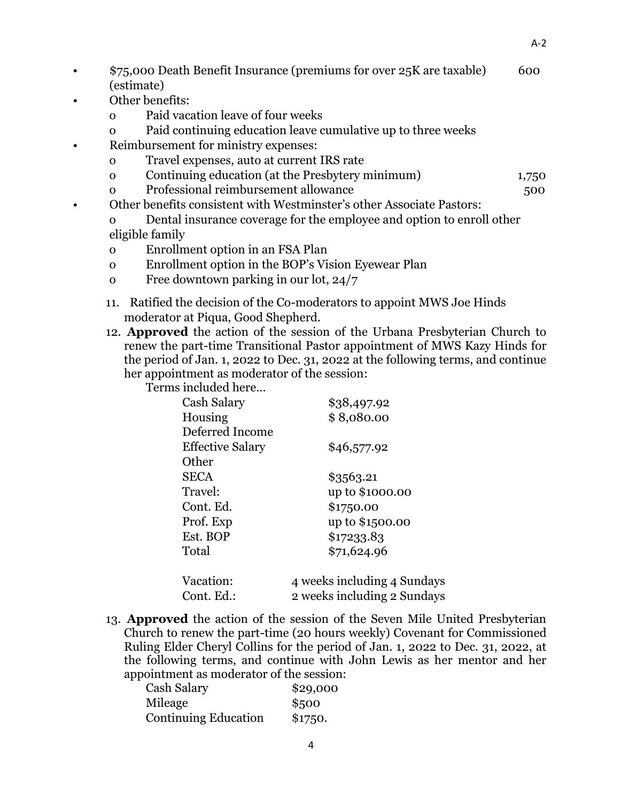- \$75,000 Death Benefit Insurance (premiums for over 25K are taxable) 600 (estimate)
- Other benefits:
	- o Paid vacation leave of four weeks
	- o Paid continuing education leave cumulative up to three weeks
- Reimbursement for ministry expenses:
	- o Travel expenses, auto at current IRS rate
	- o Continuing education (at the Presbytery minimum) 1,750
	- o Professional reimbursement allowance 500
- Other benefits consistent with Westminster's other Associate Pastors:
	- o Dental insurance coverage for the employee and option to enroll other eligible family
	- o Enrollment option in an FSA Plan
	- o Enrollment option in the BOP's Vision Eyewear Plan
	- o Free downtown parking in our lot, 24/7
	- 11. Ratified the decision of the Co-moderators to appoint MWS Joe Hinds moderator at Piqua, Good Shepherd.
	- 12. **Approved** the action of the session of the Urbana Presbyterian Church to renew the part-time Transitional Pastor appointment of MWS Kazy Hinds for the period of Jan. 1, 2022 to Dec. 31, 2022 at the following terms, and continue her appointment as moderator of the session:

Terms included here…

| Cash Salary             | \$38,497.92                 |
|-------------------------|-----------------------------|
| Housing                 | \$8,080.00                  |
| Deferred Income         |                             |
| <b>Effective Salary</b> | \$46,577.92                 |
| Other                   |                             |
| <b>SECA</b>             | \$3563.21                   |
| Travel:                 | up to \$1000.00             |
| Cont. Ed.               | \$1750.00                   |
| Prof. Exp               | up to \$1500.00             |
| Est. BOP                | \$17233.83                  |
| Total                   | \$71,624.96                 |
| Vacation:               | 4 weeks including 4 Sundays |
| Cont. Ed.:              | 2 weeks including 2 Sundays |

13. **Approved** the action of the session of the Seven Mile United Presbyterian Church to renew the part-time (20 hours weekly) Covenant for Commissioned Ruling Elder Cheryl Collins for the period of Jan. 1, 2022 to Dec. 31, 2022, at the following terms, and continue with John Lewis as her mentor and her appointment as moderator of the session:

| Cash Salary                 | \$29,000 |
|-----------------------------|----------|
| Mileage                     | \$500    |
| <b>Continuing Education</b> | \$1750.  |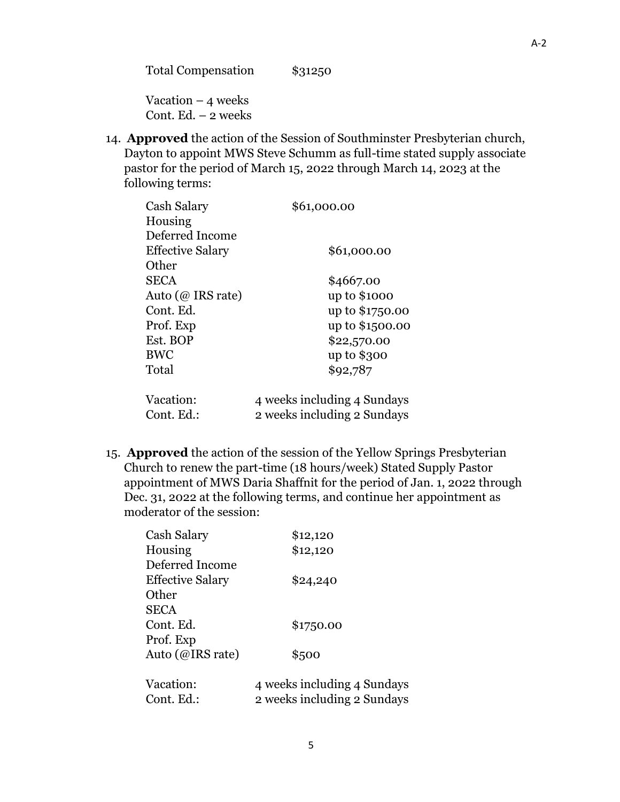Total Compensation \$31250

Vacation  $-4$  weeks Cont. Ed.  $-2$  weeks

14. **Approved** the action of the Session of Southminster Presbyterian church, Dayton to appoint MWS Steve Schumm as full-time stated supply associate pastor for the period of March 15, 2022 through March 14, 2023 at the following terms:

| Cash Salary             | \$61,000.00                 |
|-------------------------|-----------------------------|
| Housing                 |                             |
| Deferred Income         |                             |
| <b>Effective Salary</b> | \$61,000.00                 |
| Other                   |                             |
| <b>SECA</b>             | \$4667.00                   |
| Auto ( $@$ IRS rate)    | up to \$1000                |
| Cont. Ed.               | up to \$1750.00             |
| Prof. Exp               | up to \$1500.00             |
| Est. BOP                | \$22,570.00                 |
| <b>BWC</b>              | up to \$300                 |
| Total                   | \$92,787                    |
| Vacation:               | 4 weeks including 4 Sundays |
| Cont. Ed.:              | 2 weeks including 2 Sundays |

15. **Approved** the action of the session of the Yellow Springs Presbyterian Church to renew the part-time (18 hours/week) Stated Supply Pastor appointment of MWS Daria Shaffnit for the period of Jan. 1, 2022 through Dec. 31, 2022 at the following terms, and continue her appointment as moderator of the session:

| Cash Salary             | \$12,120                    |
|-------------------------|-----------------------------|
| Housing                 | \$12,120                    |
| Deferred Income         |                             |
| <b>Effective Salary</b> | \$24,240                    |
| Other                   |                             |
| <b>SECA</b>             |                             |
| Cont. Ed.               | \$1750.00                   |
| Prof. Exp               |                             |
| Auto (@IRS rate)        | \$500                       |
| Vacation:               | 4 weeks including 4 Sundays |
| Cont. Ed.:              | 2 weeks including 2 Sundays |